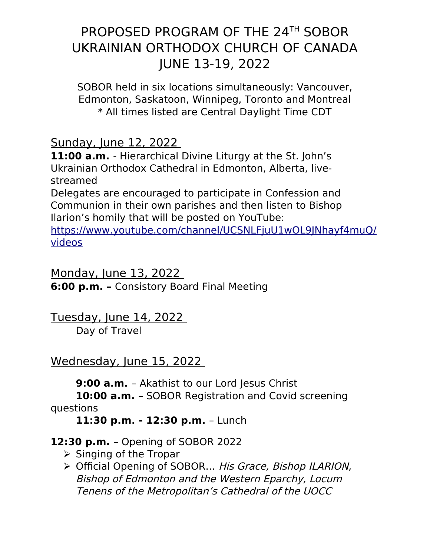SOBOR held in six locations simultaneously: Vancouver, Edmonton, Saskatoon, Winnipeg, Toronto and Montreal \* All times listed are Central Daylight Time CDT

Sunday, June 12, 2022

**11:00 a.m.** - Hierarchical Divine Liturgy at the St. John's Ukrainian Orthodox Cathedral in Edmonton, Alberta, livestreamed

Delegates are encouraged to participate in Confession and Communion in their own parishes and then listen to Bishop Ilarion's homily that will be posted on YouTube:

[https://www.youtube.com/channel/UCSNLFjuU1wOL9JNhayf4muQ/](https://www.youtube.com/channel/UCSNLFjuU1wOL9JNhayf4muQ/videos) [videos](https://www.youtube.com/channel/UCSNLFjuU1wOL9JNhayf4muQ/videos)

Monday, June 13, 2022 **6:00 p.m. –** Consistory Board Final Meeting

Tuesday, June 14, 2022

Day of Travel

## Wednesday, June 15, 2022

**9:00 a.m.** – Akathist to our Lord Jesus Christ

**10:00 a.m.** – SOBOR Registration and Covid screening questions

**11:30 p.m. - 12:30 p.m.** – Lunch

## **12:30 p.m.** – Opening of SOBOR 2022

- $\triangleright$  Singing of the Tropar
- ▶ Official Opening of SOBOR... His Grace, Bishop ILARION, Bishop of Edmonton and the Western Eparchy, Locum Tenens of the Metropolitan's Cathedral of the UOCC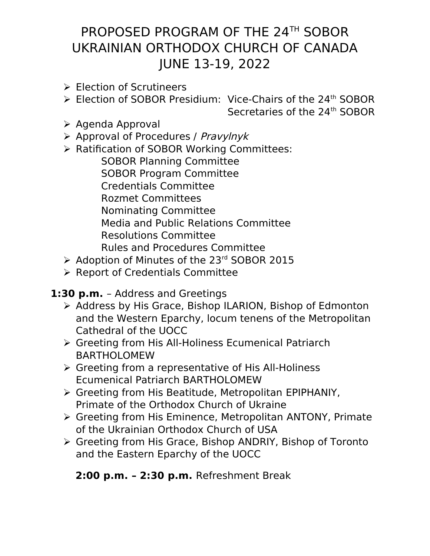- $\triangleright$  Election of Scrutineers
- ▶ Election of SOBOR Presidium: Vice-Chairs of the 24<sup>th</sup> SOBOR
	- Secretaries of the 24<sup>th</sup> SOBOR

- $\triangleright$  Agenda Approval
- $\triangleright$  Approval of Procedures / Pravylnyk
- ▶ Ratification of SOBOR Working Committees:

SOBOR Planning Committee SOBOR Program Committee Credentials Committee Rozmet Committees Nominating Committee Media and Public Relations Committee Resolutions Committee Rules and Procedures Committee

- ▶ Adoption of Minutes of the 23<sup>rd</sup> SOBOR 2015
- $\triangleright$  Report of Credentials Committee

**1:30 p.m.** – Address and Greetings

- ▶ Address by His Grace, Bishop ILARION, Bishop of Edmonton and the Western Eparchy, locum tenens of the Metropolitan Cathedral of the UOCC
- Greeting from His All-Holiness Ecumenical Patriarch BARTHOLOMEW
- Greeting from a representative of His All-Holiness Ecumenical Patriarch BARTHOLOMEW
- Greeting from His Beatitude, Metropolitan EPIPHANIY, Primate of the Orthodox Church of Ukraine
- Greeting from His Eminence, Metropolitan ANTONY, Primate of the Ukrainian Orthodox Church of USA
- Greeting from His Grace, Bishop ANDRIY, Bishop of Toronto and the Eastern Eparchy of the UOCC

### **2:00 p.m. – 2:30 p.m.** Refreshment Break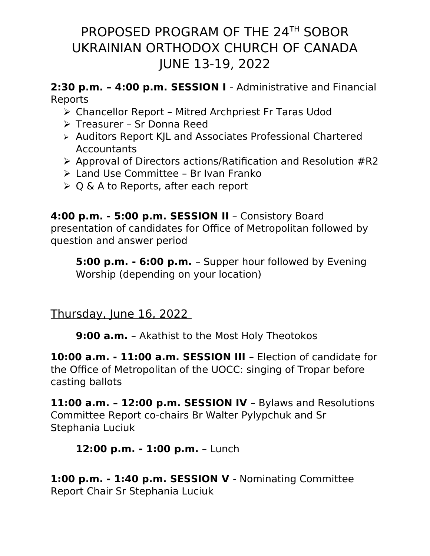#### **2:30 p.m. – 4:00 p.m. SESSION I** - Administrative and Financial Reports

- Chancellor Report Mitred Archpriest Fr Taras Udod
- Treasurer Sr Donna Reed
- Auditors Report KJL and Associates Professional Chartered **Accountants**
- $\triangleright$  Approval of Directors actions/Ratification and Resolution #R2
- Land Use Committee Br Ivan Franko
- $\geqslant$  O & A to Reports, after each report

#### **4:00 p.m. - 5:00 p.m. SESSION II** – Consistory Board presentation of candidates for Office of Metropolitan followed by question and answer period

**5:00 p.m. - 6:00 p.m.** – Supper hour followed by Evening Worship (depending on your location)

## Thursday, June 16, 2022

**9:00 a.m.** – Akathist to the Most Holy Theotokos

**10:00 a.m. - 11:00 a.m. SESSION III** – Election of candidate for the Office of Metropolitan of the UOCC: singing of Tropar before casting ballots

**11:00 a.m. – 12:00 p.m. SESSION IV** – Bylaws and Resolutions Committee Report co-chairs Br Walter Pylypchuk and Sr Stephania Luciuk

### **12:00 p.m. - 1:00 p.m.** – Lunch

**1:00 p.m. - 1:40 p.m. SESSION V** - Nominating Committee Report Chair Sr Stephania Luciuk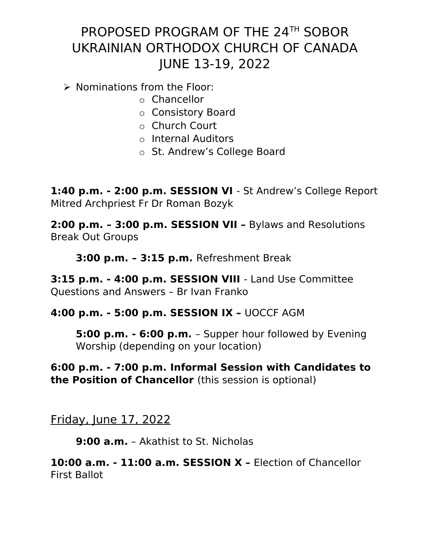$\triangleright$  Nominations from the Floor:

- o Chancellor
- o Consistory Board
- o Church Court
- o Internal Auditors
- o St. Andrew's College Board

**1:40 p.m. - 2:00 p.m. SESSION VI** - St Andrew's College Report Mitred Archpriest Fr Dr Roman Bozyk

**2:00 p.m. – 3:00 p.m. SESSION VII –** Bylaws and Resolutions Break Out Groups

**3:00 p.m. – 3:15 p.m.** Refreshment Break

**3:15 p.m. - 4:00 p.m. SESSION VIII** - Land Use Committee Questions and Answers – Br Ivan Franko

#### **4:00 p.m. - 5:00 p.m. SESSION IX –** UOCCF AGM

**5:00 p.m. - 6:00 p.m.** – Supper hour followed by Evening Worship (depending on your location)

**6:00 p.m. - 7:00 p.m. Informal Session with Candidates to the Position of Chancellor** (this session is optional)

Friday, June 17, 2022

**9:00 a.m.** – Akathist to St. Nicholas

**10:00 a.m. - 11:00 a.m. SESSION X –** Election of Chancellor First Ballot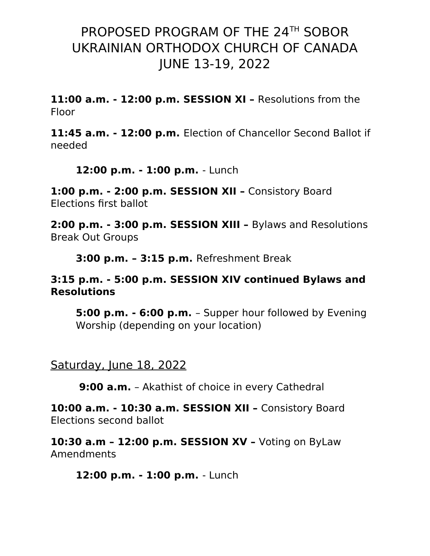**11:00 a.m. - 12:00 p.m. SESSION XI –** Resolutions from the Floor

**11:45 a.m. - 12:00 p.m.** Election of Chancellor Second Ballot if needed

**12:00 p.m. - 1:00 p.m.** - Lunch

**1:00 p.m. - 2:00 p.m. SESSION XII –** Consistory Board Elections first ballot

**2:00 p.m. - 3:00 p.m. SESSION XIII –** Bylaws and Resolutions Break Out Groups

**3:00 p.m. – 3:15 p.m.** Refreshment Break

#### **3:15 p.m. - 5:00 p.m. SESSION XIV continued Bylaws and Resolutions**

**5:00 p.m. - 6:00 p.m.** – Supper hour followed by Evening Worship (depending on your location)

Saturday, June 18, 2022

**9:00 a.m.** – Akathist of choice in every Cathedral

**10:00 a.m. - 10:30 a.m. SESSION XII –** Consistory Board Elections second ballot

**10:30 a.m – 12:00 p.m. SESSION XV –** Voting on ByLaw Amendments

**12:00 p.m. - 1:00 p.m.** - Lunch